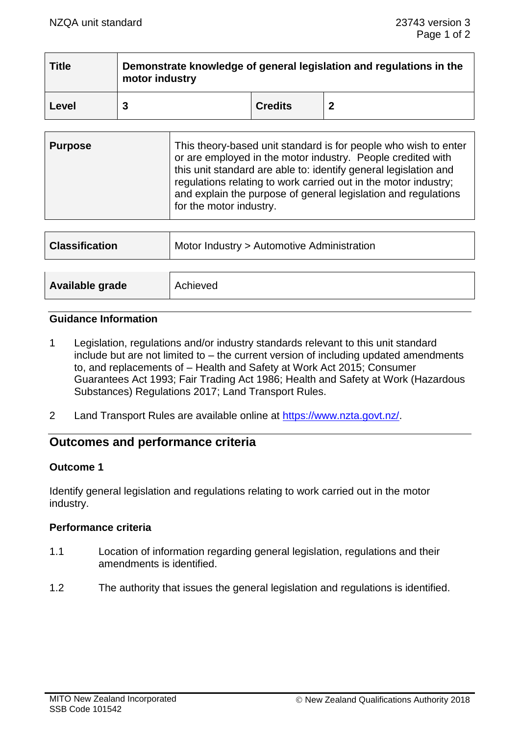| <b>Title</b> | Demonstrate knowledge of general legislation and regulations in the<br>motor industry |                |  |
|--------------|---------------------------------------------------------------------------------------|----------------|--|
| Level        |                                                                                       | <b>Credits</b> |  |

| <b>Purpose</b> | This theory-based unit standard is for people who wish to enter<br>or are employed in the motor industry. People credited with<br>this unit standard are able to: identify general legislation and<br>regulations relating to work carried out in the motor industry;<br>and explain the purpose of general legislation and regulations<br>for the motor industry. |
|----------------|--------------------------------------------------------------------------------------------------------------------------------------------------------------------------------------------------------------------------------------------------------------------------------------------------------------------------------------------------------------------|
|                |                                                                                                                                                                                                                                                                                                                                                                    |

| <b>Classification</b> | Motor Industry > Automotive Administration |  |
|-----------------------|--------------------------------------------|--|
|                       |                                            |  |
| Available grade       | Achieved                                   |  |

### **Guidance Information**

- 1 Legislation, regulations and/or industry standards relevant to this unit standard include but are not limited to – the current version of including updated amendments to, and replacements of – Health and Safety at Work Act 2015; Consumer Guarantees Act 1993; Fair Trading Act 1986; Health and Safety at Work (Hazardous Substances) Regulations 2017; Land Transport Rules.
- 2 Land Transport Rules are available online at [https://www.nzta.govt.nz/.](https://www.nzta.govt.nz/)

## **Outcomes and performance criteria**

### **Outcome 1**

Identify general legislation and regulations relating to work carried out in the motor industry.

### **Performance criteria**

- 1.1 Location of information regarding general legislation, regulations and their amendments is identified.
- 1.2 The authority that issues the general legislation and regulations is identified.